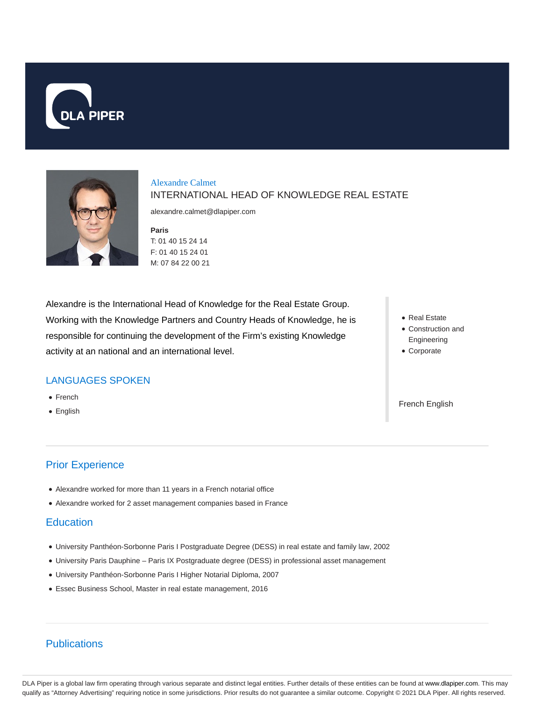



### Alexandre Calmet INTERNATIONAL HEAD OF KNOWLEDGE REAL ESTATE

alexandre.calmet@dlapiper.com

**Paris** T: 01 40 15 24 14 F: 01 40 15 24 01 M: 07 84 22 00 21

Alexandre is the International Head of Knowledge for the Real Estate Group. Working with the Knowledge Partners and Country Heads of Knowledge, he is responsible for continuing the development of the Firm's existing Knowledge activity at an national and an international level.

# LANGUAGES SPOKEN

- French
- English

# Prior Experience

- Alexandre worked for more than 11 years in a French notarial office
- Alexandre worked for 2 asset management companies based in France

### **Education**

- University Panthéon-Sorbonne Paris I Postgraduate Degree (DESS) in real estate and family law, 2002
- University Paris Dauphine Paris IX Postgraduate degree (DESS) in professional asset management
- University Panthéon-Sorbonne Paris I Higher Notarial Diploma, 2007
- Essec Business School, Master in real estate management, 2016

# Publications

Real Estate

- Construction and Engineering
- Corporate

French English

DLA Piper is a global law firm operating through various separate and distinct legal entities. Further details of these entities can be found at www.dlapiper.com. This may qualify as "Attorney Advertising" requiring notice in some jurisdictions. Prior results do not guarantee a similar outcome. Copyright © 2021 DLA Piper. All rights reserved.